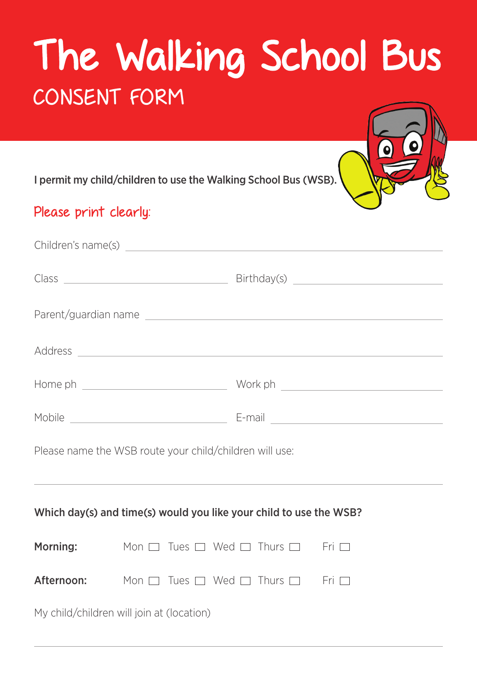## The Walking School Bus CONSENT FORM

 $\bullet$ 

 $\bullet$ 

I permit my child/children to use the Walking School Bus (WSB).

## Please print clearly:

| Parent/guardian name experience and the contract of the contract of the contract of the contract of the contract of                                                                                                            |  |  |  |                                                           |  |  |
|--------------------------------------------------------------------------------------------------------------------------------------------------------------------------------------------------------------------------------|--|--|--|-----------------------------------------------------------|--|--|
| Address and the contract of the contract of the contract of the contract of the contract of the contract of the contract of the contract of the contract of the contract of the contract of the contract of the contract of th |  |  |  |                                                           |  |  |
|                                                                                                                                                                                                                                |  |  |  |                                                           |  |  |
|                                                                                                                                                                                                                                |  |  |  |                                                           |  |  |
| Please name the WSB route your child/children will use:                                                                                                                                                                        |  |  |  |                                                           |  |  |
| Which day(s) and time(s) would you like your child to use the WSB?                                                                                                                                                             |  |  |  |                                                           |  |  |
| <b>Morning:</b> Mon □ Tues □ Wed □ Thurs □ Fri □                                                                                                                                                                               |  |  |  |                                                           |  |  |
| Afternoon:                                                                                                                                                                                                                     |  |  |  | Mon $\Box$ Tues $\Box$ Wed $\Box$ Thurs $\Box$ Fri $\Box$ |  |  |
| My child/children will join at (location)                                                                                                                                                                                      |  |  |  |                                                           |  |  |